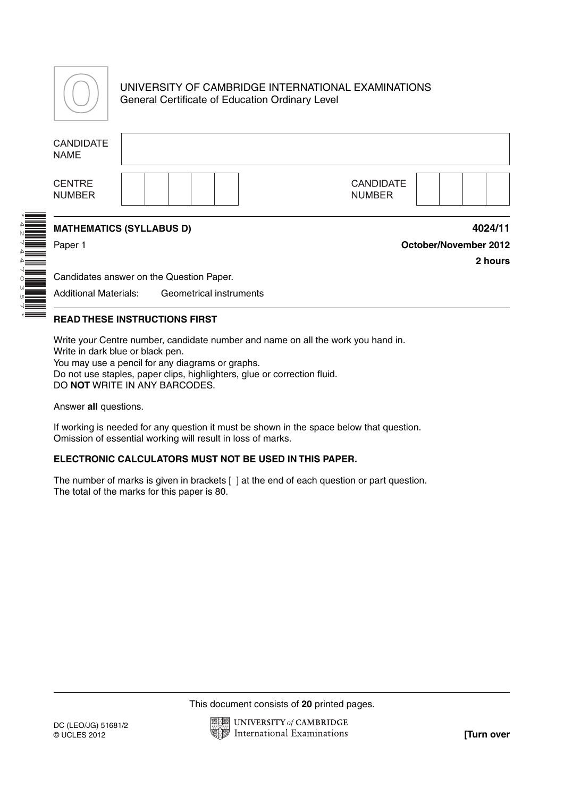

\*4274470357\*

## UNIVERSITY OF CAMBRIDGE INTERNATIONAL EXAMINATIONS General Certificate of Education Ordinary Level

|                             | <b>CANDIDATE</b><br><b>NAME</b> |                                          |                                   |
|-----------------------------|---------------------------------|------------------------------------------|-----------------------------------|
|                             | <b>CENTRE</b><br><b>NUMBER</b>  |                                          | <b>CANDIDATE</b><br><b>NUMBER</b> |
|                             |                                 |                                          |                                   |
|                             |                                 | <b>MATHEMATICS (SYLLABUS D)</b>          | 4024/11                           |
|                             | Paper 1                         |                                          | October/November 2012             |
|                             |                                 |                                          | 2 hours                           |
|                             |                                 | Candidates answer on the Question Paper. |                                   |
| <b>FARITAINE ANNE AN AI</b> | <b>Additional Materials:</b>    | Geometrical instruments                  |                                   |

## **READ THESE INSTRUCTIONS FIRST**

Write your Centre number, candidate number and name on all the work you hand in. Write in dark blue or black pen. You may use a pencil for any diagrams or graphs. Do not use staples, paper clips, highlighters, glue or correction fluid. DO **NOT** WRITE IN ANY BARCODES.

Answer **all** questions.

If working is needed for any question it must be shown in the space below that question. Omission of essential working will result in loss of marks.

## **ELECTRONIC CALCULATORS MUST NOT BE USED IN THIS PAPER.**

The number of marks is given in brackets [ ] at the end of each question or part question. The total of the marks for this paper is 80.

This document consists of **20** printed pages.

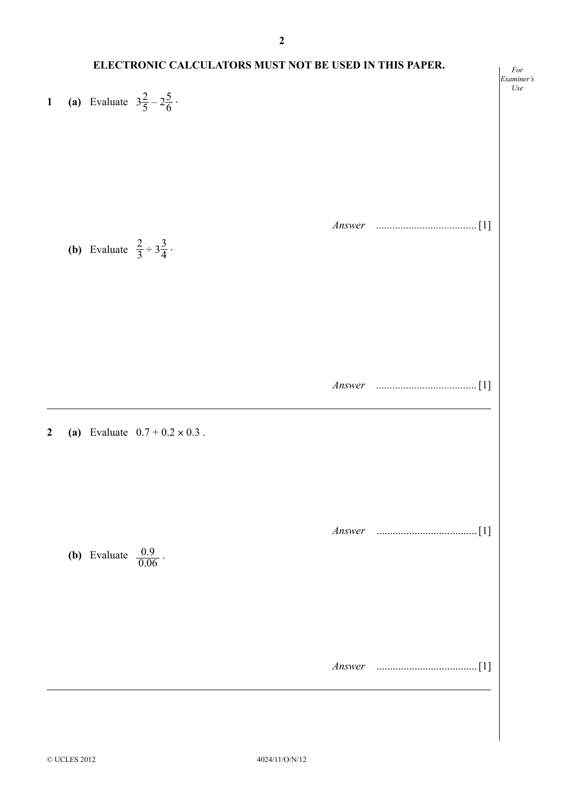|                | ELECTRONIC CALCULATORS MUST NOT BE USED IN THIS PAPER. |                                                       |                                              | For                     |
|----------------|--------------------------------------------------------|-------------------------------------------------------|----------------------------------------------|-------------------------|
| $\mathbf{1}$   |                                                        |                                                       | (a) Evaluate $3\frac{2}{5} - 2\frac{5}{6}$ . | Examiner's<br>$\it Use$ |
|                |                                                        | <b>(b)</b> Evaluate $\frac{2}{3} \div 3\frac{3}{4}$ . |                                              |                         |
| $\overline{2}$ |                                                        |                                                       | (a) Evaluate $0.7 + 0.2 \times 0.3$ .        |                         |
|                |                                                        | <b>(b)</b> Evaluate $\frac{0.9}{0.06}$ .              |                                              |                         |
|                |                                                        |                                                       |                                              |                         |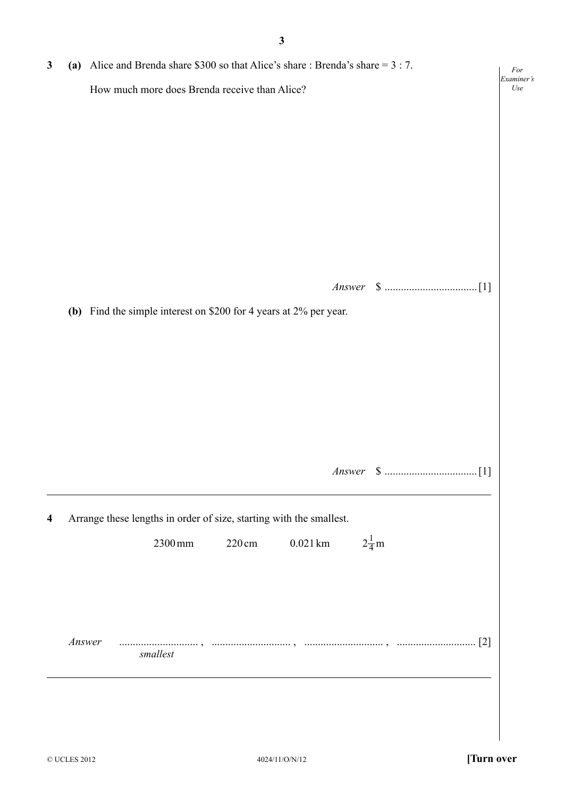| $\mathbf{3}$ | (a)    | Alice and Brenda share \$300 so that Alice's share : Brenda's share $= 3 : 7$ . | For                     |
|--------------|--------|---------------------------------------------------------------------------------|-------------------------|
|              |        | How much more does Brenda receive than Alice?                                   | Examiner's<br>$\it Use$ |
|              |        |                                                                                 |                         |
|              |        |                                                                                 |                         |
|              |        |                                                                                 |                         |
|              |        |                                                                                 |                         |
|              |        |                                                                                 |                         |
|              |        |                                                                                 |                         |
|              |        |                                                                                 |                         |
|              |        |                                                                                 |                         |
|              |        | (b) Find the simple interest on \$200 for 4 years at $2\%$ per year.            |                         |
|              |        |                                                                                 |                         |
|              |        |                                                                                 |                         |
|              |        |                                                                                 |                         |
|              |        |                                                                                 |                         |
|              |        |                                                                                 |                         |
|              |        | Answer                                                                          |                         |
|              |        |                                                                                 |                         |
| 4            |        | Arrange these lengths in order of size, starting with the smallest.             |                         |
|              |        | $2\frac{1}{4}$ m<br>$0.021\,\mathrm{km}$<br>2300 mm<br>$220 \text{ cm}$         |                         |
|              |        |                                                                                 |                         |
|              |        |                                                                                 |                         |
|              |        |                                                                                 |                         |
|              | Answer | smallest                                                                        |                         |
|              |        |                                                                                 |                         |
|              |        |                                                                                 |                         |
|              |        |                                                                                 |                         |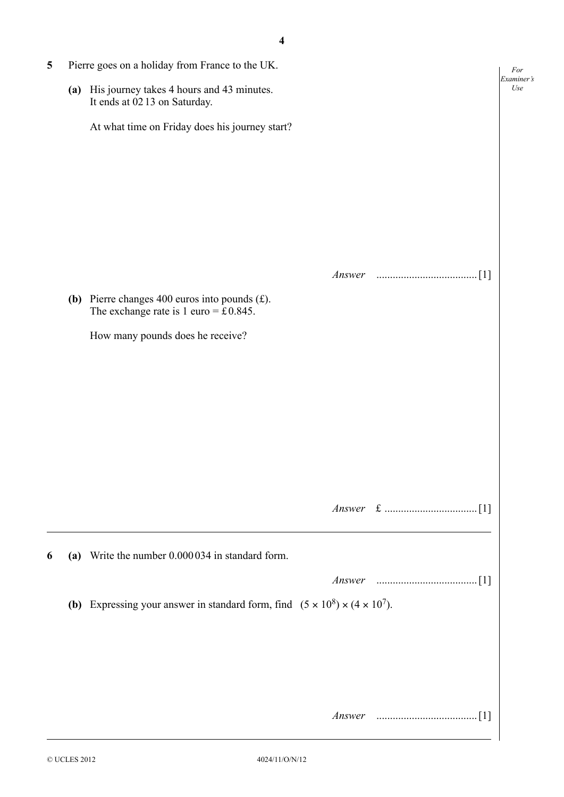| 5 | Pierre goes on a holiday from France to the UK.<br>(a) His journey takes 4 hours and 43 minutes.<br>It ends at 0213 on Saturday.<br>At what time on Friday does his journey start? | For<br>Examiner's<br>Use |
|---|------------------------------------------------------------------------------------------------------------------------------------------------------------------------------------|--------------------------|
|   | (b) Pierre changes 400 euros into pounds $(E)$ .<br>The exchange rate is 1 euro = $\text{\pounds}0.845$ .<br>How many pounds does he receive?                                      |                          |
| 6 | (a) Write the number 0.000 034 in standard form.                                                                                                                                   |                          |
|   | (b) Expressing your answer in standard form, find $(5 \times 10^8) \times (4 \times 10^7)$ .<br>Answer                                                                             |                          |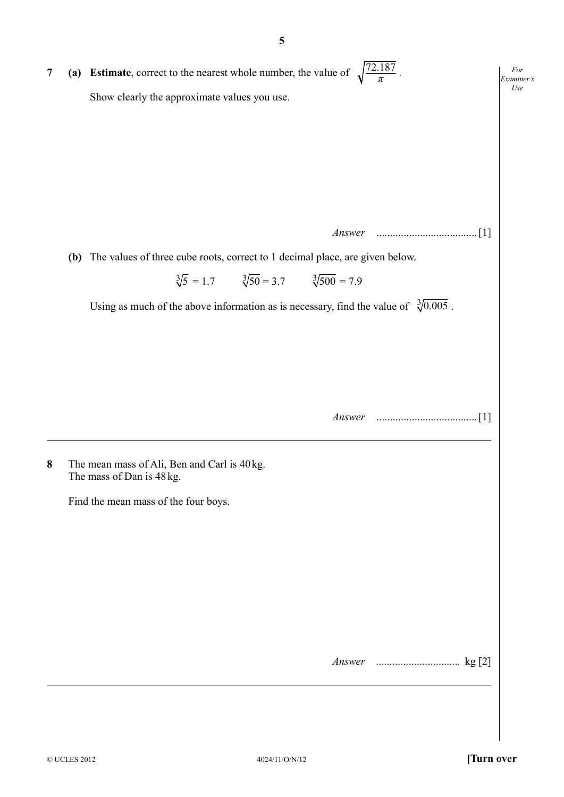| Show clearly the approximate values you use.                   | Use                                                                                                                                                                                                                                                                                                    |
|----------------------------------------------------------------|--------------------------------------------------------------------------------------------------------------------------------------------------------------------------------------------------------------------------------------------------------------------------------------------------------|
|                                                                |                                                                                                                                                                                                                                                                                                        |
| $\sqrt[3]{5} = 1.7$ $\sqrt[3]{50} = 3.7$ $\sqrt[3]{500} = 7.9$ |                                                                                                                                                                                                                                                                                                        |
|                                                                |                                                                                                                                                                                                                                                                                                        |
|                                                                |                                                                                                                                                                                                                                                                                                        |
|                                                                | (b) The values of three cube roots, correct to 1 decimal place, are given below.<br>Using as much of the above information as is necessary, find the value of $\sqrt[3]{0.005}$ .<br>The mean mass of Ali, Ben and Carl is 40 kg.<br>The mass of Dan is 48 kg.<br>Find the mean mass of the four boys. |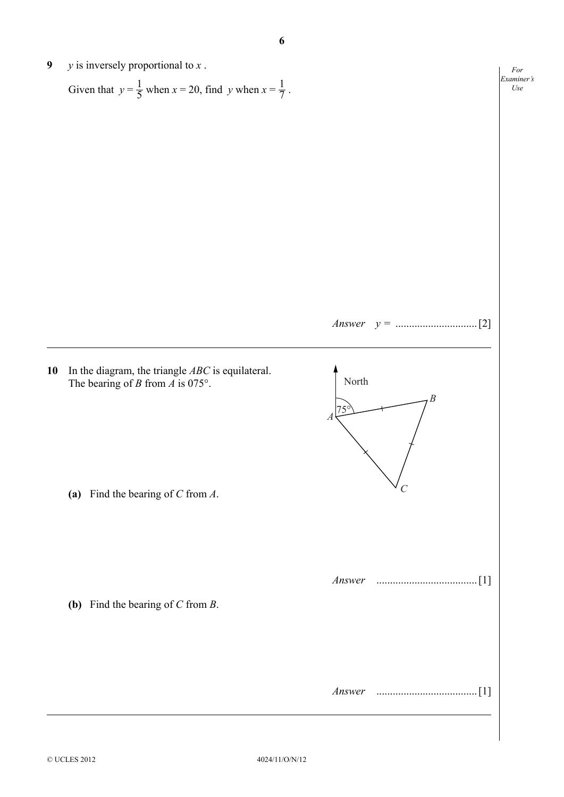**9** *y* is inversely proportional to *x* .

Given that  $y = \frac{1}{5}$  when  $x = 20$ , find  $y$  when  $x = \frac{1}{7}$ .



 *Answer y =* .............................. [2] **10** In the diagram, the triangle *ABC* is equilateral. The bearing of *B* from *A* is 075°.  **(a)** Find the bearing of *C* from *A*. 75° North *A B C Answer* ..................................... [1]  **(b)** Find the bearing of *C* from *B*.  *Answer* ..................................... [1]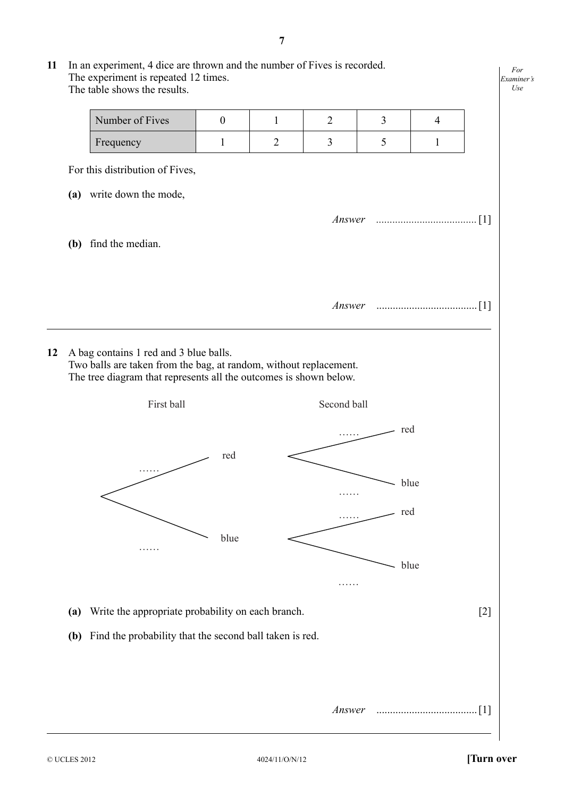**11** In an experiment, 4 dice are thrown and the number of Fives is recorded. The experiment is repeated 12 times. The table shows the results.

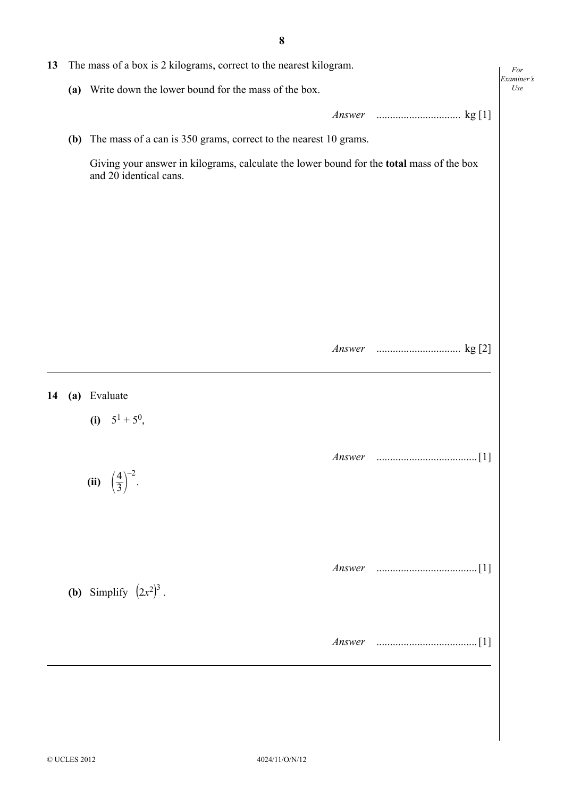| 13 |     | The mass of a box is 2 kilograms, correct to the nearest kilogram.                                                 | For               |
|----|-----|--------------------------------------------------------------------------------------------------------------------|-------------------|
|    |     | (a) Write down the lower bound for the mass of the box.                                                            | Examiner's<br>Use |
|    |     |                                                                                                                    |                   |
|    | (b) | The mass of a can is 350 grams, correct to the nearest 10 grams.                                                   |                   |
|    |     | Giving your answer in kilograms, calculate the lower bound for the total mass of the box<br>and 20 identical cans. |                   |
|    |     |                                                                                                                    |                   |
|    |     |                                                                                                                    |                   |
|    |     |                                                                                                                    |                   |
|    |     |                                                                                                                    |                   |
|    |     |                                                                                                                    |                   |
|    |     |                                                                                                                    |                   |
| 14 |     | (a) Evaluate                                                                                                       |                   |
|    |     | (i) $5^1 + 5^0$ ,                                                                                                  |                   |
|    |     |                                                                                                                    |                   |
|    |     | (ii) $\left(\frac{4}{3}\right)^{-2}$ .                                                                             |                   |
|    |     |                                                                                                                    |                   |
|    |     |                                                                                                                    |                   |
|    |     |                                                                                                                    |                   |
|    |     | <b>(b)</b> Simplify $(2x^2)^3$ .                                                                                   |                   |
|    |     |                                                                                                                    |                   |
|    |     |                                                                                                                    |                   |
|    |     |                                                                                                                    |                   |
|    |     |                                                                                                                    |                   |
|    |     |                                                                                                                    |                   |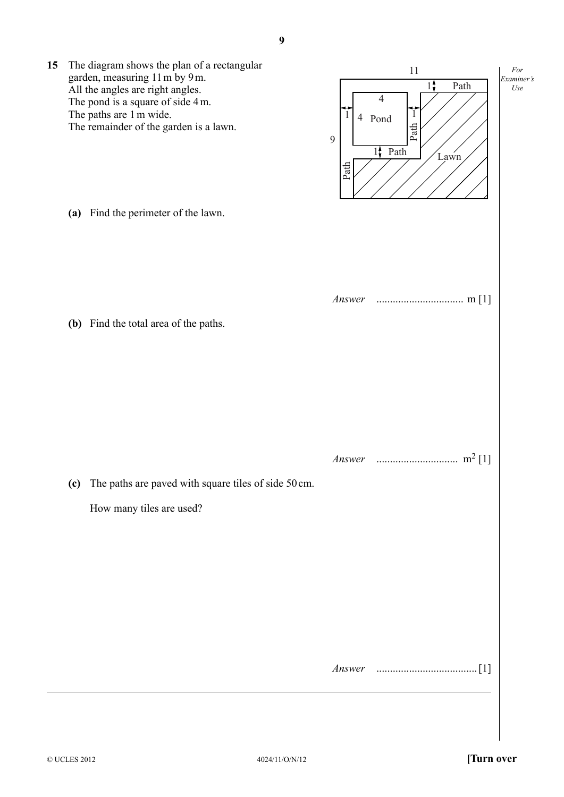*For Examiner's Use* **15** The diagram shows the plan of a rectangular Path 1<sup>t</sup> Path Path Path  $1\frac{1}{2}$ 11 9 1  $1 \mid 4 \text{ pond}$ 4 Lawn garden, measuring 11 m by 9 m. All the angles are right angles. The pond is a square of side 4 m. The paths are 1 m wide. The remainder of the garden is a lawn.  **(a)** Find the perimeter of the lawn.  *Answer* ................................ m [1]  **(b)** Find the total area of the paths.  *Answer* .............................. m2 [1]  **(c)** The paths are paved with square tiles of side 50 cm. How many tiles are used?  *Answer* ..................................... [1]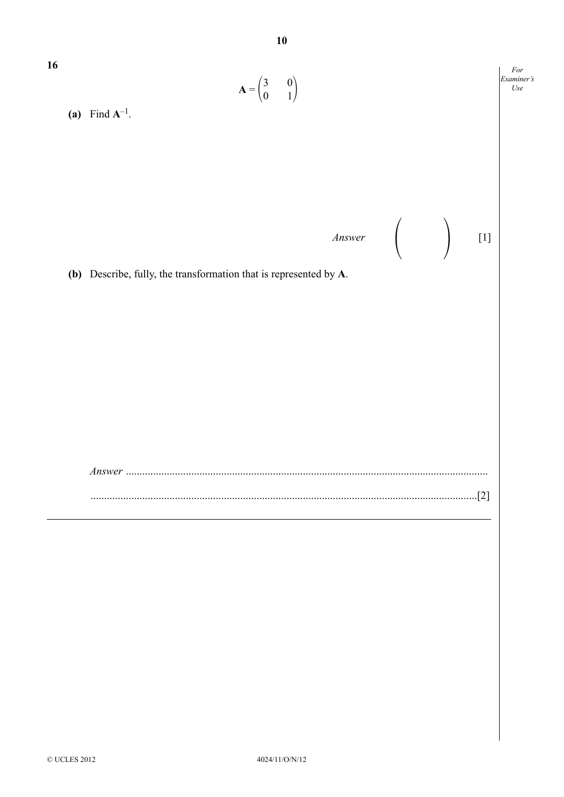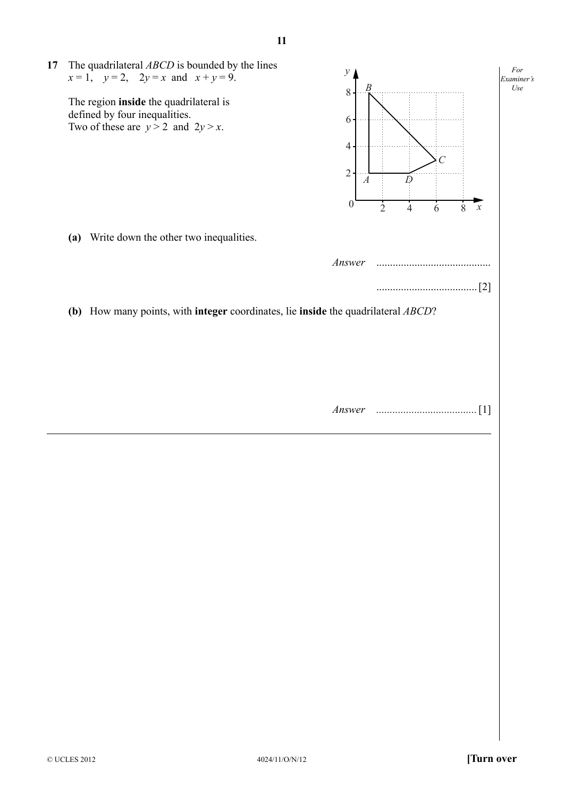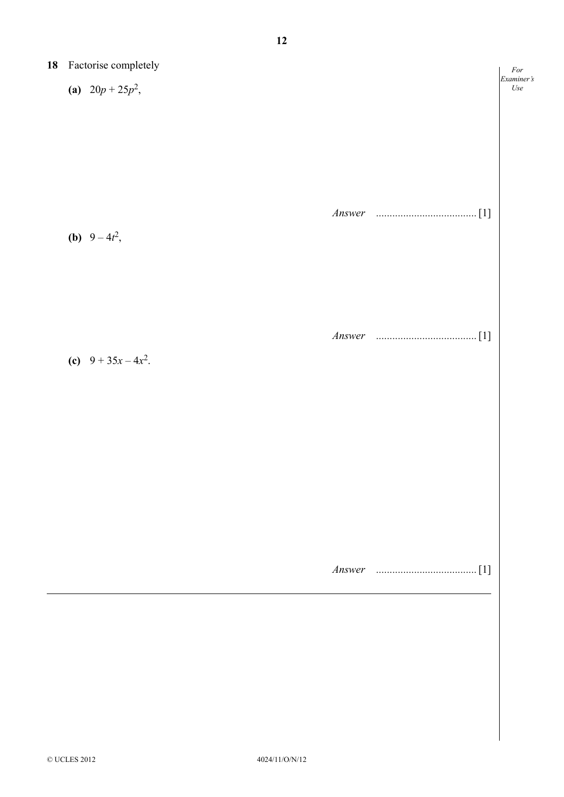|  | 18 Factorise completely | For<br>Examiner's |
|--|-------------------------|-------------------|
|  | (a) $20p + 25p^2$ ,     | $\it Use$         |
|  |                         |                   |
|  |                         |                   |
|  |                         |                   |
|  | Answer                  |                   |
|  | <b>(b)</b> $9-4t^2$ ,   |                   |
|  |                         |                   |
|  |                         |                   |
|  |                         |                   |
|  |                         |                   |
|  | (c) $9 + 35x - 4x^2$ .  |                   |
|  |                         |                   |
|  |                         |                   |
|  |                         |                   |
|  |                         |                   |
|  |                         |                   |
|  |                         |                   |
|  |                         |                   |
|  |                         |                   |
|  |                         |                   |
|  |                         |                   |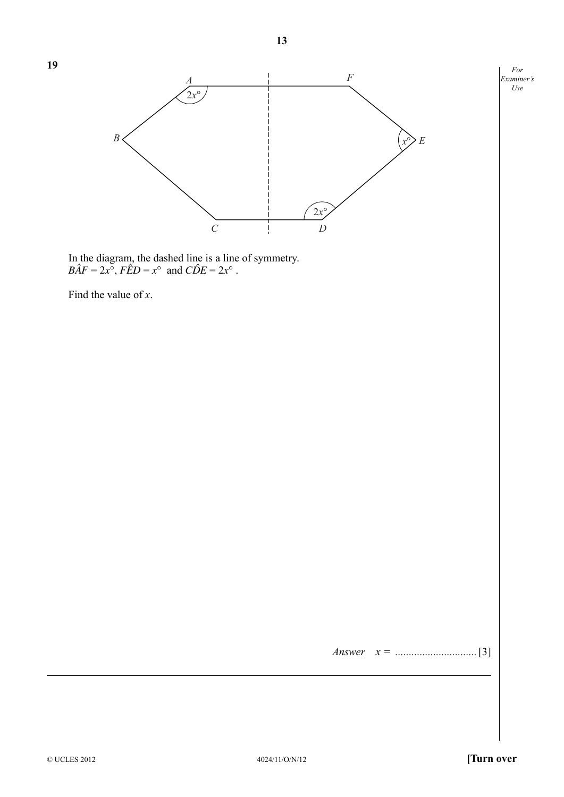

**19**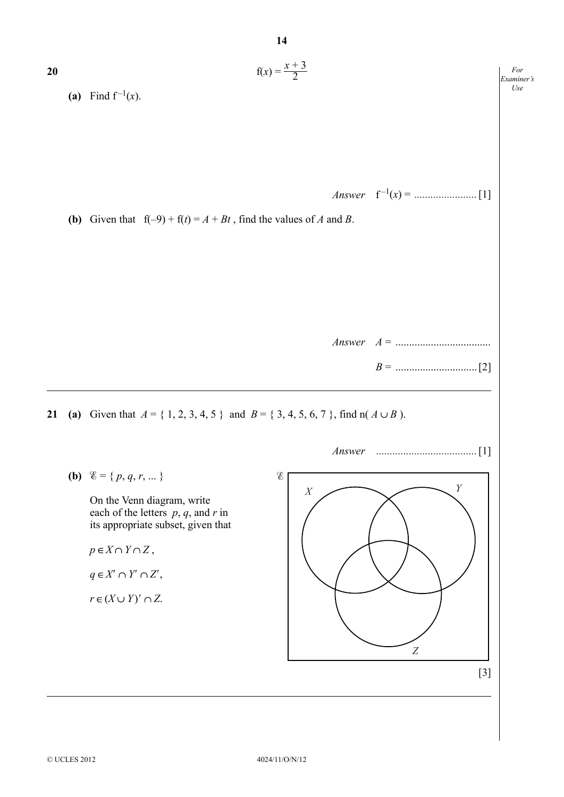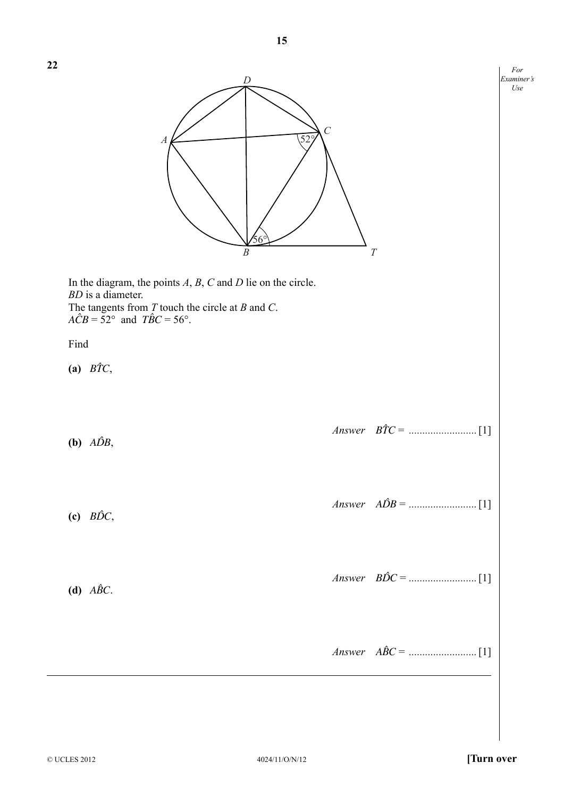

**22**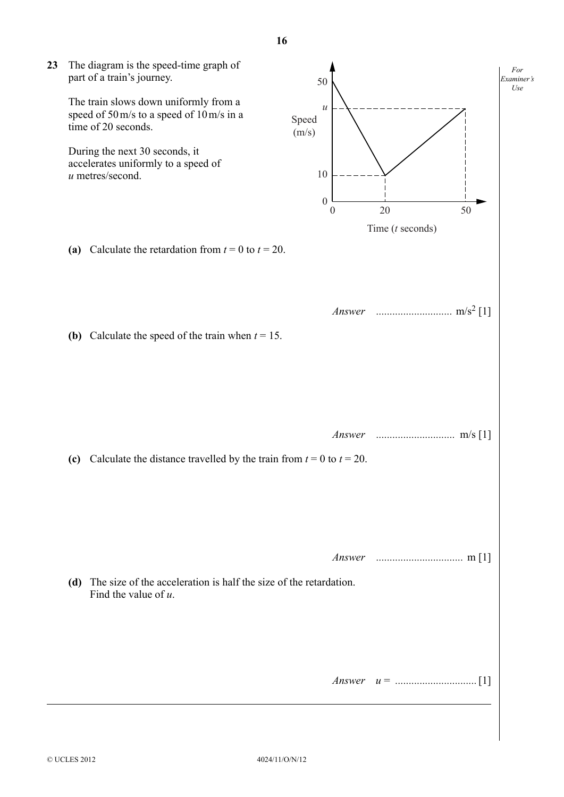**23** The diagram is the speed-time graph of part of a train's journey.

> The train slows down uniformly from a speed of 50 m/s to a speed of 10 m/s in a time of 20 seconds.

During the next 30 seconds, it accelerates uniformly to a speed of *u* metres/second.

- (a) Calculate the retardation from  $t = 0$  to  $t = 20$ .
- **(b)** Calculate the speed of the train when  $t = 15$ .

 *Answer .............................* m/s [1] **(c)** Calculate the distance travelled by the train from  $t = 0$  to  $t = 20$ .  *Answer ................................* m [1]  **(d)** The size of the acceleration is half the size of the retardation. Find the value of *u*.  *Answer u* = *..............................*[1]

0 0

20 50

Time (*t* seconds)

 *Answer ............................* m/s2 [1]

10

50

*u*

Speed  $(m/s)$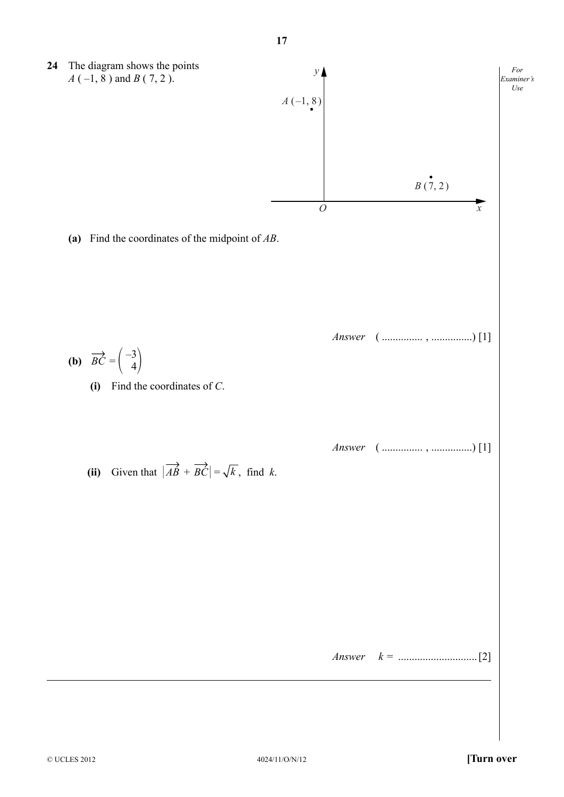*For Examiner's Use* **24** The diagram shows the points *O*  $A(-1, 8)$  $B(7,2)$ *y x A* (-1, 8) and *B* (7, 2).  **(a)** Find the coordinates of the midpoint of *AB*.  *Answer* ( ............... , ...............) [1] **(b)**  $\overrightarrow{BC} = \begin{pmatrix} \overrightarrow{AC} & \overrightarrow{AC} \\ \overrightarrow{AC} & \overrightarrow{AC} \end{pmatrix}$  $\begin{pmatrix} -3 \\ 4 \end{pmatrix}$  **(i)** Find the coordinates of *C*.  *Answer* ( ............... , ...............) [1] (ii) Given that  $|\overrightarrow{AB} + \overrightarrow{BC}| = \sqrt{k}$ , find *k*.  *Answer k =* ............................. [2]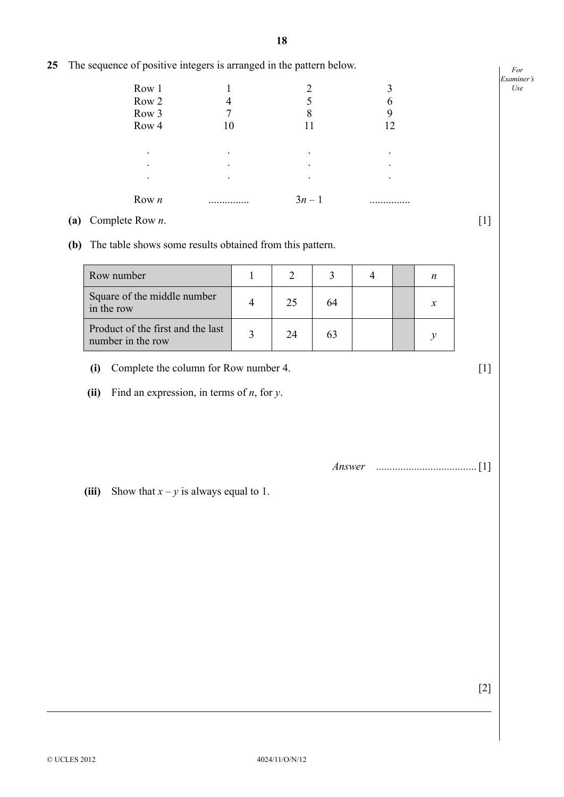. . Row *n* . ............... .  $3n - 1$ . . ...............  **(a)** Complete Row *n*. [1]  **(b)** The table shows some results obtained from this pattern. Row number 1  $1 \t 2 \t 3 \t 4 \t n$ Square of the middle number  $\frac{1}{25}$  and the row  $\begin{vmatrix} 4 & 25 \\ 4 & 25 \end{vmatrix}$  64  $\begin{vmatrix} x \\ y \end{vmatrix}$ Product of the first and the last number in the row  $\begin{array}{|c|c|c|c|} \hline 3 & 24 & 63 & \end{array}$   $\begin{array}{|c|c|c|c|c|} \hline y \\ y \\ y \\ z \end{array}$  **(i)** Complete the column for Row number 4. [1]  **(ii)** Find an expression, in terms of *n*, for *y*.  *Answer .....................................*[1] **(iii)** Show that  $x - y$  is always equal to 1.

**25** The sequence of positive integers is arranged in the pattern below.

> . .

Row 1 Row 2 Row 3 Row 4

.

**18**

.

. .

[2]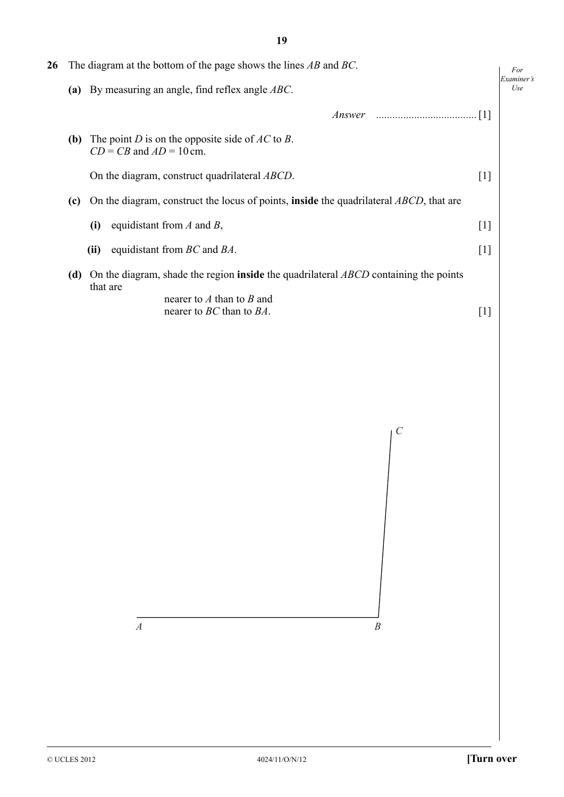**19**

| 26 |            | The diagram at the bottom of the page shows the lines $AB$ and $BC$ .                                                                           | For               |
|----|------------|-------------------------------------------------------------------------------------------------------------------------------------------------|-------------------|
|    | (a)        | By measuring an angle, find reflex angle ABC.                                                                                                   | Examiner's<br>Use |
|    |            |                                                                                                                                                 |                   |
|    | <b>(b)</b> | The point D is on the opposite side of $AC$ to B.<br>$CD = CB$ and $AD = 10$ cm.                                                                |                   |
|    |            | On the diagram, construct quadrilateral <i>ABCD</i> .                                                                                           | $[1]$             |
|    | (c)        | On the diagram, construct the locus of points, <b>inside</b> the quadrilateral ABCD, that are                                                   |                   |
|    |            | equidistant from $A$ and $B$ ,<br>(i)                                                                                                           | $[1]$             |
|    |            | equidistant from $BC$ and $BA$ .<br>(ii)                                                                                                        | $[1]$             |
|    | (d)        | On the diagram, shade the region <b>inside</b> the quadrilateral <i>ABCD</i> containing the points<br>that are<br>nearer to $A$ than to $B$ and |                   |
|    |            | nearer to <i>BC</i> than to <i>BA</i> .                                                                                                         | $\lceil 1 \rceil$ |



*A B*